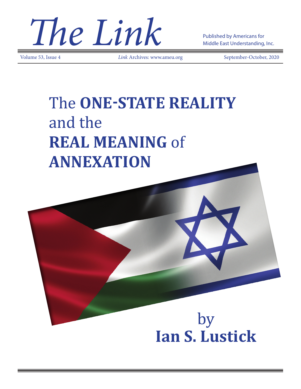**The Link** Published by Americans for

Volume 53, Issue 4 *Link* Archives: www.ameu.org September-October, 2020

Middle East Understanding, Inc.

# The **ONE-STATE REALITY** and the **REAL MEANING** of **ANNEXATION**

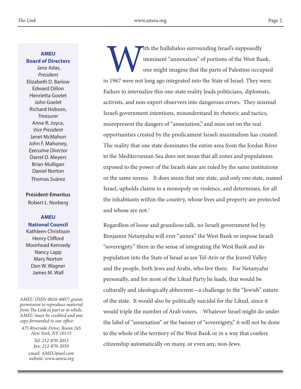**AMEU** 

**Board of Directors**

Jane Adas, *President* Elizabeth D. Barlow Edward Dillon Henrietta Goelet John Goelet Richard Hobson, *Treasurer* Anne R. Joyce, *Vice President* Janet McMahon John F. Mahoney, *Executive Director* Darrel D. Meyers Brian Mulligan Daniel Norton Thomas Suárez

### **President-Emeritus**

Robert L. Norberg

#### **AMEU**

**National Council** Kathleen Christison Henry Clifford Moorhead Kennedy Nancy Lapp Mary Norton Don W. Wagner James M. Wall

#### *AMEU (ISSN 0024-4007) grants permission to reproduce material from The Link in part or in whole. AMEU must be credited and one copy forwarded to our office:*

*475 Riverside Drive, Room 245 New York, NY 10115 Tel: 212-870-2053 fax: 212-870-2050 email: AMEU@aol.com website: www.ameu.org*

ith the hullabaloo surrounding Israel's supposedly imminent "annexation" of portions of the West Bank, one might imagine that the parts of Palestine occupied in 1967 were not long ago integrated into the State of Israel. They were. Failure to internalize this one-state reality leads politicians, diplomats, activists, and non-expert observers into dangerous errors. They misread Israeli government intentions, misunderstand its rhetoric and tactics, misrepresent the dangers of "annexation," and miss out on the real opportunities created by the predicament Israeli maximalism has created. The reality that one state dominates the entire area from the Jordan River to the Mediterranean Sea does not mean that all zones and populations exposed to the power of the Israeli state are ruled by the same institutions or the same norms. It does mean that one state, and only one state, named Israel, upholds claims to a monopoly on violence, and determines, for all the inhabitants within the country, whose lives and property are protected and whose are not.<sup>1</sup>

Regardless of loose and grandiose talk, no Israeli government led by Benjamin Netanyahu will ever "annex" the West Bank or impose Israeli "sovereignty" there in the sense of integrating the West Bank and its population into the State of Israel as are Tel-Aviv or the Jezreel Valley and the people, both Jews and Arabs, who live there. For Netanyahu personally, and for most of the Likud Party he leads, that would be culturally and ideologically abhorrent—a challenge to the "Jewish" nature of the state. It would also be politically suicidal for the Likud, since it would triple the number of Arab voters. Whatever Israel might do under the label of "annexation" or the banner of "sovereignty," it will not be done to the whole of the territory of the West Bank or in a way that confers citizenship automatically on many, or even any, non-Jews.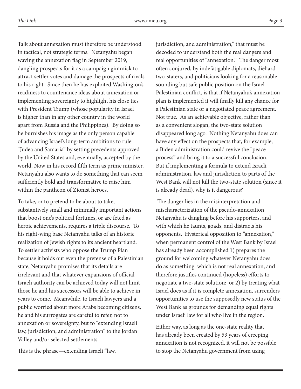Talk about annexation must therefore be understood in tactical, not strategic terms. Netanyahu began waving the annexation flag in September 2019, dangling prospects for it as a campaign gimmick to attract settler votes and damage the prospects of rivals to his right. Since then he has exploited Washington's readiness to countenance ideas about annexation or implementing sovereignty to highlight his close ties with President Trump (whose popularity in Israel is higher than in any other country in the world apart from Russia and the Philippines). By doing so he burnishes his image as the only person capable of advancing Israel's long-term ambitions to rule "Judea and Samaria" by setting precedents approved by the United States and, eventually, accepted by the world. Now in his record fifth term as prime minister, Netanyahu also wants to do something that can seem sufficiently bold and transformative to raise him within the pantheon of Zionist heroes.

To take, or to pretend to be about to take, substantively small and minimally important actions that boost one's political fortunes, or are feted as heroic achievements, requires a triple discourse. To his right-wing base Netanyahu talks of an historic realization of Jewish rights to its ancient heartland. To settler activists who oppose the Trump Plan because it holds out even the pretense of a Palestinian state, Netanyahu promises that its details are irrelevant and that whatever expansions of official Israeli authority can be achieved today will not limit those he and his successors will be able to achieve in years to come. Meanwhile, to Israeli lawyers and a public worried about more Arabs becoming citizens, he and his surrogates are careful to refer, not to annexation or sovereignty, but to "extending Israeli law, jurisdiction, and administration" to the Jordan Valley and/or selected settlements.

This is the phrase—extending Israeli "law,

jurisdiction, and administration," that must be decoded to understand both the real dangers and real opportunities of "annexation." The danger most often conjured, by indefatigable diplomats, diehard two-staters, and politicians looking for a reasonable sounding but safe public position on the Israel-Palestinian conflict, is that if Netanyahu's annexation plan is implemented it will finally kill any chance for a Palestinian state or a negotiated peace agreement. Not true. As an achievable objective, rather than as a convenient slogan, the two-state solution disappeared long ago. Nothing Netanyahu does can have any effect on the prospects that, for example, a Biden administration could revive the "peace process" and bring it to a successful conclusion. But if implementing a formula to extend Israeli administration, law and jurisdiction to parts of the West Bank will not kill the two-state solution (since it is already dead), why is it dangerous?

 The danger lies in the misinterpretation and mischaracterization of the pseudo-annexation Netanyahu is dangling before his supporters, and with which he taunts, goads, and distracts his opponents. Hysterical opposition to "annexation," when permanent control of the West Bank by Israel has already been accomplished 1) prepares the ground for welcoming whatever Netanyahu does do as something which is not real annexation, and therefore justifies continued (hopeless) efforts to negotiate a two-state solution; or 2) by treating what Israel does as if it is complete annexation, surrenders opportunities to use the supposedly new status of the West Bank as grounds for demanding equal rights under Israeli law for all who live in the region.

Either way, as long as the one-state reality that has already been created by 53 years of creeping annexation is not recognized, it will not be possible to stop the Netanyahu government from using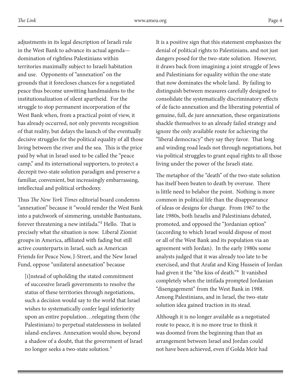adjustments in its legal description of Israeli rule in the West Bank to advance its actual agenda domination of rightless Palestinians within territories maximally subject to Israeli habitation and use. Opponents of "annexation" on the grounds that it forecloses chances for a negotiated peace thus become unwitting handmaidens to the institutionalization of silent apartheid. For the struggle to stop permanent incorporation of the West Bank when, from a practical point of view, it has already occurred, not only prevents recognition of that reality, but delays the launch of the eventually decisive struggles for the political equality of all those living between the river and the sea. This is the price paid by what in Israel used to be called the "peace camp," and its international supporters, to protect a decrepit two-state solution paradigm and preserve a familiar, convenient, but increasingly embarrassing, intellectual and political orthodoxy.

Thus *The New York Times* editorial board condemns "annexation" because it "would render the West Bank into a patchwork of simmering, unstable Bantustans, forever threatening a new intifada."² Hello. That is precisely what the situation is now. Liberal Zionist groups in America, affiliated with fading but still active counterparts in Israel, such as American Friends for Peace Now, J-Street, and the New Israel Fund, oppose "unilateral annexation" because

[i]nstead of upholding the stated commitment of successive Israeli governments to resolve the status of these territories through negotiations, such a decision would say to the world that Israel wishes to systematically confer legal inferiority upon an entire population…relegating them (the Palestinians) to perpetual statelessness in isolated island-enclaves. Annexation would show, beyond a shadow of a doubt, that the government of Israel no longer seeks a two-state solution.<sup>3</sup>

It is a positive sign that this statement emphasizes the denial of political rights to Palestinians, and not just dangers posed for the two-state solution. However, it draws back from imagining a joint struggle of Jews and Palestinians for equality within the one-state that now dominates the whole land. By failing to distinguish between measures carefully designed to consolidate the systematically discriminatory effects of de facto annexation and the liberating potential of genuine, full, de jure annexation, these organizations shackle themselves to an already failed strategy and ignore the only available route for achieving the "liberal democracy" they say they favor. That long and winding road leads not through negotiations, but via political struggles to grant equal rights to all those living under the power of the Israeli state.

The metaphor of the "death" of the two-state solution has itself been beaten to death by overuse. There is little need to belabor the point. Nothing is more common in political life than the disappearance of ideas or designs for change. From 1967 to the late 1980s, both Israelis and Palestinians debated, promoted, and opposed the "Jordanian option" (according to which Israel would dispose of most or all of the West Bank and its population via an agreement with Jordan). In the early 1980s some analysts judged that it was already too late to be exercised, and that Arafat and King Hussein of Jordan had given it the "the kiss of death."<sup>4</sup> It vanished completely when the intifada prompted Jordanian "disengagement" from the West Bank in 1988. Among Palestinians, and in Israel, the two-state solution idea gained traction in its stead.

Although it is no longer available as a negotiated route to peace, it is no more true to think it was doomed from the beginning than that an arrangement between Israel and Jordan could not have been achieved, even if Golda Meir had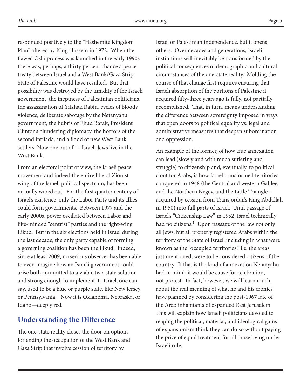responded positively to the "Hashemite Kingdom Plan" offered by King Hussein in 1972. When the flawed Oslo process was launched in the early 1990s there was, perhaps, a thirty percent chance a peace treaty between Israel and a West Bank/Gaza Strip State of Palestine would have resulted. But that possibility was destroyed by the timidity of the Israeli government, the ineptness of Palestinian politicians, the assassination of Yitzhak Rabin, cycles of bloody violence, deliberate sabotage by the Netanyahu government, the hubris of Ehud Barak, President Clinton's blundering diplomacy, the horrors of the second intifada, and a flood of new West Bank settlers. Now one out of 11 Israeli Jews live in the West Bank.

From an electoral point of view, the Israeli peace movement and indeed the entire liberal Zionist wing of the Israeli political spectrum, has been virtually wiped out. For the first quarter century of Israel's existence, only the Labor Party and its allies could form governments. Between 1977 and the early 2000s, power oscillated between Labor and like-minded "centrist" parties and the right-wing Likud. But in the six elections held in Israel during the last decade, the only party capable of forming a governing coalition has been the Likud. Indeed, since at least 2009, no serious observer has been able to even imagine how an Israeli government could arise both committed to a viable two-state solution and strong enough to implement it. Israel, one can say, used to be a blue or purple state, like New Jersey or Pennsylvania. Now it is Oklahoma, Nebraska, or Idaho—deeply red.

# **Understanding the Difference**

The one-state reality closes the door on options for ending the occupation of the West Bank and Gaza Strip that involve cession of territory by

Israel or Palestinian independence, but it opens others. Over decades and generations, Israeli institutions will inevitably be transformed by the political consequences of demographic and cultural circumstances of the one-state reality. Molding the course of that change first requires ensuring that Israeli absorption of the portions of Palestine it acquired fifty-three years ago is fully, not partially accomplished. That, in turn, means understanding the difference between sovereignty imposed in ways that open doors to political equality vs. legal and administrative measures that deepen subordination and oppression.

An example of the former, of how true annexation can lead (slowly and with much suffering and struggle) to citizenship and, eventually, to political clout for Arabs, is how Israel transformed territories conquered in 1948 (the Central and western Galilee, and the Northern Negev, and the Little Triangle- acquired by cession from Transjordan's King Abdallah in 1950) into full parts of Israel. Until passage of Israel's "Citizenship Law" in 1952, Israel technically had no citizens.<sup>5</sup> Upon passage of the law not only all Jews, but all properly registered Arabs within the territory of the State of Israel, including in what were known as the "occupied territories," i.e. the areas just mentioned, were to be considered citizens of the country. If that is the kind of annexation Netanyahu had in mind, it would be cause for celebration, not protest. In fact, however, we will learn much about the real meaning of what he and his cronies have planned by considering the post-1967 fate of the Arab inhabitants of expanded East Jerusalem. This will explain how Israeli politicians devoted to reaping the political, material, and ideological gains of expansionism think they can do so without paying the price of equal treatment for all those living under Israeli rule.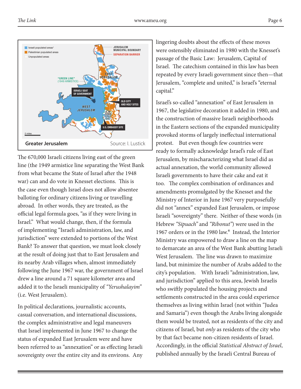

The 670,000 Israeli citizens living east of the green line (the 1949 armistice line separating the West Bank from what became the State of Israel after the 1948 war) can and do vote in Knesset elections. This is the case even though Israel does not allow absentee balloting for ordinary citizens living or travelling abroad. In other words, they are treated, as the official legal formula goes, "as if they were living in Israel." What would change, then, if the formula of implementing "Israeli administration, law, and jurisdiction" were extended to portions of the West Bank? To answer that question, we must look closely at the result of doing just that to East Jerusalem and its nearby Arab villages when, almost immediately following the June 1967 war, the government of Israel drew a line around a 71 square kilometer area and added it to the Israeli municipality of *"Yerushalayim"* (i.e. West Jerusalem).

In political declarations, journalistic accounts, casual conversation, and international discussions, the complex administrative and legal maneuvers that Israel implemented in June 1967 to change the status of expanded East Jerusalem were and have been referred to as "annexation" or as effecting Israeli sovereignty over the entire city and its environs. Any

lingering doubts about the effects of these moves were ostensibly eliminated in 1980 with the Knesset's passage of the Basic Law: Jerusalem, Capital of Israel. The catechism contained in this law has been repeated by every Israeli government since then—that Jerusalem, "complete and united," is Israel's "eternal capital."

Israel's so-called "annexation" of East Jerusalem in 1967, the legislative decoration it added in 1980, and the construction of massive Israeli neighborhoods in the Eastern sections of the expanded municipality provoked storms of largely ineffectual international protest. But even though few countries were ready to formally acknowledge Israel's rule of East Jerusalem, by mischaracterizing what Israel did as actual annexation, the world community allowed Israeli governments to have their cake and eat it too. The complex combination of ordinances and amendments promulgated by the Knesset and the Ministry of Interior in June 1967 very purposefully did not "annex" expanded East Jerusalem, or impose Israeli "sovereignty" there. Neither of these words (in Hebrew *"Sipuach"* and *"Ribonut"*) were used in the 1967 orders or in the 1980 law.<sup>6</sup> Instead, the Interior Ministry was empowered to draw a line on the map to demarcate an area of the West Bank abutting Israeli West Jerusalem. The line was drawn to maximize land, but minimize the number of Arabs added to the city's population. With Israeli "administration, law, and jurisdiction" applied to this area, Jewish Israelis who swiftly populated the housing projects and settlements constructed in the area could experience themselves as living within Israel (not within "Judea and Samaria") even though the Arabs living alongside them would be treated, not as residents of the city and citizens of Israel, but *only* as residents of the city who by that fact became non-citizen residents of Israel. Accordingly, in the official *Statistical Abstract of Israel*, published annually by the Israeli Central Bureau of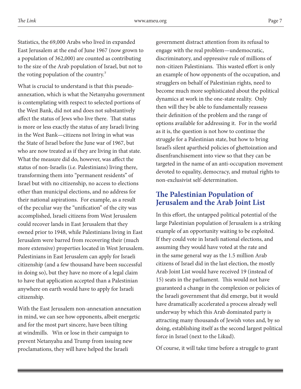Statistics, the 69,000 Arabs who lived in expanded East Jerusalem at the end of June 1967 (now grown to a population of 362,000) are counted as contributing to the size of the Arab population of Israel, but not to the voting population of the country.<sup>7</sup>

What is crucial to understand is that this pseudoannexation, which is what the Netanyahu government is contemplating with respect to selected portions of the West Bank, did not and does not substantively affect the status of Jews who live there. That status is more or less exactly the status of any Israeli living in the West Bank—citizens not living in what was the State of Israel before the June war of 1967, but who are now treated as if they are living in that state. What the measure did do, however, was affect the status of non-Israelis (i.e. Palestinians) living there, transforming them into "permanent residents" of Israel but with no citizenship, no access to elections other than municipal elections, and no address for their national aspirations. For example, as a result of the peculiar way the "unification" of the city was accomplished, Israeli citizens from West Jerusalem could recover lands in East Jerusalem that they owned prior to 1948, while Palestinians living in East Jerusalem were barred from recovering their (much more extensive) properties located in West Jerusalem. Palestinians in East Jerusalem can apply for Israeli citizenship (and a few thousand have been successful in doing so), but they have no more of a legal claim to have that application accepted than a Palestinian anywhere on earth would have to apply for Israeli citizenship.

With the East Jerusalem non-annexation annexation in mind, we can see how opponents, albeit energetic and for the most part sincere, have been tilting at windmills. Win or lose in their campaign to prevent Netanyahu and Trump from issuing new proclamations, they will have helped the Israeli

government distract attention from its refusal to engage with the real problem—undemocratic, discriminatory, and oppressive rule of millions of non-citizen Palestinians. This wasted effort is only an example of how opponents of the occupation, and strugglers on behalf of Palestinian rights, need to become much more sophisticated about the political dynamics at work in the one-state reality. Only then will they be able to fundamentally reassess their definition of the problem and the range of options available for addressing it. For in the world as it is, the question is not how to continue the struggle for a Palestinian state, but how to bring Israel's silent apartheid policies of ghettoization and disenfranchisement into view so that they can be targeted in the name of an anti-occupation movement devoted to equality, democracy, and mutual rights to non-exclusivist self-determination.

## **The Palestinian Population of Jerusalem and the Arab Joint List**

In this effort, the untapped political potential of the large Palestinian population of Jerusalem is a striking example of an opportunity waiting to be exploited. If they could vote in Israeli national elections, and assuming they would have voted at the rate and in the same general way as the 1.5 million Arab citizens of Israel did in the last election, the mostly Arab Joint List would have received 19 (instead of 15) seats in the parliament. This would not have guaranteed a change in the complexion or policies of the Israeli government that did emerge, but it would have dramatically accelerated a process already well underway by which this Arab dominated party is attracting many thousands of Jewish votes and, by so doing, establishing itself as the second largest political force in Israel (next to the Likud).

Of course, it will take time before a struggle to grant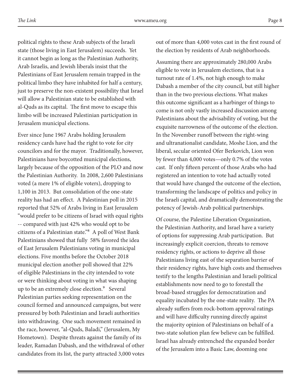political rights to these Arab subjects of the Israeli state (those living in East Jerusalem) succeeds. Yet it cannot begin as long as the Palestinian Authority, Arab Israelis, and Jewish liberals insist that the Palestinians of East Jerusalem remain trapped in the political limbo they have inhabited for half a century, just to preserve the non-existent possibility that Israel will allow a Palestinian state to be established with al-Quds as its capital. The first move to escape this limbo will be increased Palestinian participation in

Jerusalem municipal elections.

Ever since June 1967 Arabs holding Jerusalem residency cards have had the right to vote for city councilors and for the mayor. Traditionally, however, Palestinians have boycotted municipal elections, largely because of the opposition of the PLO and now the Palestinian Authority. In 2008, 2,600 Palestinians voted (a mere 1% of eligible voters), dropping to 1,100 in 2013. But consolidation of the one-state reality has had an effect. A Palestinian poll in 2015 reported that 52% of Arabs living in East Jerusalem "would prefer to be citizens of Israel with equal rights -- compared with just 42% who would opt to be citizens of a Palestinian state."<sup>8</sup> A poll of West Bank Palestinians showed that fully 58% favored the idea of East Jerusalem Palestinians voting in municipal elections. Five months before the October 2018 municipal election another poll showed that 22% of eligible Palestinians in the city intended to vote or were thinking about voting in what was shaping up to be an extremely close election.<sup>9</sup> Several Palestinian parties seeking representation on the council formed and announced campaigns, but were pressured by both Palestinian and Israeli authorities into withdrawing. One such movement remained in the race, however, "al-Quds, Baladi," (Jerusalem, My Hometown). Despite threats against the family of its leader, Ramadan Dabash, and the withdrawal of other candidates from its list, the party attracted 3,000 votes out of more than 4,000 votes cast in the first round of the election by residents of Arab neighborhoods.

Assuming there are approximately 280,000 Arabs eligible to vote in Jerusalem elections, that is a turnout rate of 1.4%, not high enough to make Dabash a member of the city council, but still higher than in the two previous elections. What makes this outcome significant as a harbinger of things to come is not only vastly increased discussion among Palestinians about the advisability of voting, but the exquisite narrowness of the outcome of the election. In the November runoff between the right-wing and ultranationalist candidate, Moshe Lion, and the liberal, secular oriented Ofer Berkovich, Lion won by fewer than 4,000 votes—only 0.7% of the votes cast. If only fifteen percent of those Arabs who had registered an intention to vote had actually voted that would have changed the outcome of the election, transforming the landscape of politics and policy in the Israeli capital, and dramatically demonstrating the potency of Jewish-Arab political partnerships.

Of course, the Palestine Liberation Organization, the Palestinian Authority, and Israel have a variety of options for suppressing Arab participation. But increasingly explicit coercion, threats to remove residency rights, or actions to deprive all those Palestinians living east of the separation barrier of their residency rights, have high costs and themselves testify to the lengths Palestinian and Israeli political establishments now need to go to forestall the broad-based struggles for democratization and equality incubated by the one-state reality. The PA already suffers from rock-bottom approval ratings and will have difficulty running directly against the majority opinion of Palestinians on behalf of a two-state solution plan few believe can be fulfilled. Israel has already entrenched the expanded border of the Jerusalem into a Basic Law, dooming one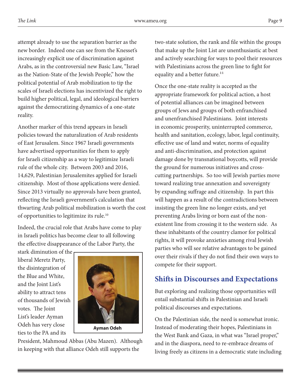attempt already to use the separation barrier as the new border. Indeed one can see from the Knesset's increasingly explicit use of discrimination against Arabs, as in the controversial new Basic Law, "Israel as the Nation-State of the Jewish People," how the political potential of Arab mobilization to tip the scales of Israeli elections has incentivized the right to build higher political, legal, and ideological barriers against the democratizing dynamics of a one-state reality.

Another marker of this trend appears in Israeli policies toward the naturalization of Arab residents of East Jerusalem. Since 1967 Israeli governments have advertised opportunities for them to apply for Israeli citizenship as a way to legitimize Israeli rule of the whole city. Between 2003 and 2016, 14,629, Palestinian Jerusalemites applied for Israeli citizenship. Most of those applications were denied. Since 2013 virtually no approvals have been granted, reflecting the Israeli government's calculation that thwarting Arab political mobilization is worth the cost of opportunities to legitimize its rule.10

Indeed, the crucial role that Arabs have come to play in Israeli politics has become clear to all following the effective disappearance of the Labor Party, the

stark diminution of the liberal Meretz Party, the disintegration of the Blue and White, and the Joint List's ability to attract tens of thousands of Jewish votes. The Joint List's leader Ayman Odeh has very close ties to the PA and its



President, Mahmoud Abbas (Abu Mazen). Although in keeping with that alliance Odeh still supports the

two-state solution, the rank and file within the groups that make up the Joint List are unenthusiastic at best and actively searching for ways to pool their resources with Palestinians across the green line to fight for equality and a better future.<sup>11</sup>

Once the one-state reality is accepted as the appropriate framework for political action, a host of potential alliances can be imagined between groups of Jews and groups of both enfranchised and unenfranchised Palestinians. Joint interests in economic prosperity, uninterrupted commerce, health and sanitation, ecology, labor, legal continuity, effective use of land and water, norms of equality and anti-discrimination, and protection against damage done by transnational boycotts, will provide the ground for numerous initiatives and crosscutting partnerships. So too will Jewish parties move toward realizing true annexation and sovereignty by expanding suffrage and citizenship. In part this will happen as a result of the contradictions between insisting the green line no longer exists, and yet preventing Arabs living or born east of the nonexistent line from crossing it to the western side. As these inhabitants of the country clamor for political rights, it will provoke anxieties among rival Jewish parties who will see relative advantages to be gained over their rivals if they do not find their own ways to compete for their support.

# **Shifts in Discourses and Expectations**

But exploring and realizing those opportunities will entail substantial shifts in Palestinian and Israeli political discourses and expectations.

On the Palestinian side, the need is somewhat ironic. Instead of moderating their hopes, Palestinians in the West Bank and Gaza, in what was "Israel proper," and in the diaspora, need to re-embrace dreams of living freely as citizens in a democratic state including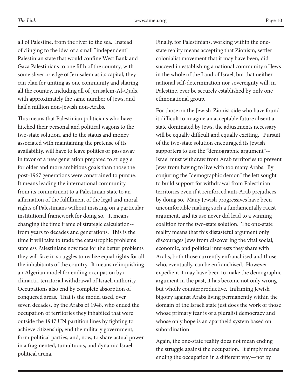all of Palestine, from the river to the sea. Instead of clinging to the idea of a small "independent" Palestinian state that would confine West Bank and Gaza Palestinians to one fifth of the country, with some sliver or edge of Jerusalem as its capital, they can plan for uniting as one community and sharing all the country, including all of Jerusalem-Al-Quds, with approximately the same number of Jews, and half a million non-Jewish non-Arabs.

This means that Palestinian politicians who have hitched their personal and political wagons to the two-state solution, and to the status and money associated with maintaining the pretense of its availability, will have to leave politics or pass away in favor of a new generation prepared to struggle for older and more ambitious goals than those the post-1967 generations were constrained to pursue. It means leading the international community from its commitment to a Palestinian state to an affirmation of the fulfillment of the legal and moral rights of Palestinians without insisting on a particular institutional framework for doing so. It means changing the time frame of strategic calculation- from years to decades and generations. This is the time it will take to trade the catastrophic problems stateless Palestinians now face for the better problems they will face in struggles to realize equal rights for all the inhabitants of the country. It means relinquishing an Algerian model for ending occupation by a climactic territorial withdrawal of Israeli authority. Occupations also end by complete absorption of conquered areas. That is the model used, over seven decades, by the Arabs of 1948, who ended the occupation of territories they inhabited that were outside the 1947 UN partition lines by fighting to achieve citizenship, end the military government, form political parties, and, now, to share actual power in a fragmented, tumultuous, and dynamic Israeli political arena.

Finally, for Palestinians, working within the onestate reality means accepting that Zionism, settler colonialist movement that it may have been, did succeed in establishing a national community of Jews in the whole of the Land of Israel, but that neither national self-determination nor sovereignty will, in Palestine, ever be securely established by only one ethnonational group.

For those on the Jewish-Zionist side who have found it difficult to imagine an acceptable future absent a state dominated by Jews, the adjustments necessary will be equally difficult and equally exciting. Pursuit of the two-state solution encouraged its Jewish supporters to use the "demographic argument"-- Israel must withdraw from Arab territories to prevent Jews from having to live with too many Arabs. By conjuring the "demographic demon" the left sought to build support for withdrawal from Palestinian territories even if it reinforced anti-Arab prejudices by doing so. Many Jewish progressives have been uncomfortable making such a fundamentally racist argument, and its use never did lead to a winning coalition for the two-state solution. The one-state reality means that this distasteful argument only discourages Jews from discovering the vital social, economic, and political interests they share with Arabs, both those currently enfranchised and those who, eventually, can be enfranchised. However expedient it may have been to make the demographic argument in the past, it has become not only wrong but wholly counterproductive. Inflaming Jewish bigotry against Arabs living permanently within the domain of the Israeli state just does the work of those whose primary fear is of a pluralist democracy and whose only hope is an apartheid system based on subordination.

Again, the one-state reality does not mean ending the struggle against the occupation. It simply means ending the occupation in a different way—not by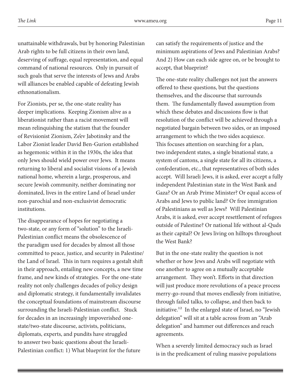unattainable withdrawals, but by honoring Palestinian Arab rights to be full citizens in their own land, deserving of suffrage, equal representation, and equal command of national resources. Only in pursuit of such goals that serve the interests of Jews and Arabs will alliances be enabled capable of defeating Jewish ethnonationalism.

For Zionists, per se, the one-state reality has deeper implications. Keeping Zionism alive as a liberationist rather than a racist movement will mean relinquishing the statism that the founder of Revisionist Zionism, Ze'ev Jabotinsky and the Labor Zionist leader David Ben-Gurion established as hegemonic within it in the 1930s, the idea that only Jews should wield power over Jews. It means returning to liberal and socialist visions of a Jewish national home, wherein a large, prosperous, and secure Jewish community, neither dominating nor dominated, lives in the entire Land of Israel under non-parochial and non-exclusivist democratic institutions.

The disappearance of hopes for negotiating a two-state, or any form of "solution" to the Israeli-Palestinian conflict means the obsolescence of the paradigm used for decades by almost all those committed to peace, justice, and security in Palestine/ the Land of Israel. This in turn requires a gestalt shift in their approach, entailing new concepts, a new time frame, and new kinds of strategies. For the one-state reality not only challenges decades of policy design and diplomatic strategy, it fundamentally invalidates the conceptual foundations of mainstream discourse surrounding the Israeli-Palestinian conflict. Stuck for decades in an increasingly impoverished onestate/two-state discourse, activists, politicians, diplomats, experts, and pundits have struggled to answer two basic questions about the Israeli-Palestinian conflict: 1) What blueprint for the future

can satisfy the requirements of justice and the minimum aspirations of Jews and Palestinian Arabs? And 2) How can each side agree on, or be brought to accept, that blueprint?

The one-state reality challenges not just the answers offered to these questions, but the questions themselves, and the discourse that surrounds them. The fundamentally flawed assumption from which these debates and discussions flow is that resolution of the conflict will be achieved through a negotiated bargain between two sides, or an imposed arrangement to which the two sides acquiesce. This focuses attention on searching for a plan, two independent states, a single binational state, a system of cantons, a single state for all its citizens, a confederation, etc., that representatives of both sides accept. Will Israeli Jews, it is asked, ever accept a fully independent Palestinian state in the West Bank and Gaza? Or an Arab Prime Minister? Or equal access of Arabs and Jews to public land? Or free immigration of Palestinians as well as Jews? Will Palestinian Arabs, it is asked, ever accept resettlement of refugees outside of Palestine? Or national life without al-Quds as their capital? Or Jews living on hilltops throughout the West Bank?

But in the one-state reality the question is not whether or how Jews and Arabs will negotiate with one another to agree on a mutually acceptable arrangement. They won't. Efforts in that direction will just produce more revolutions of a peace process merry-go-round that moves endlessly from initiative, through failed talks, to collapse, and then back to initiative.<sup>12</sup> In the enlarged state of Israel, no "Jewish" delegation" will sit at a table across from an "Arab delegation" and hammer out differences and reach agreements.

When a severely limited democracy such as Israel is in the predicament of ruling massive populations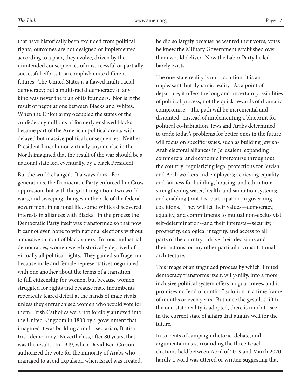that have historically been excluded from political rights, outcomes are not designed or implemented according to a plan, they evolve, driven by the unintended consequences of unsuccessful or partially successful efforts to accomplish quite different futures. The United States is a flawed multi-racial democracy; but a multi-racial democracy of any kind was never the plan of its founders. Nor is it the result of negotiations between Blacks and Whites. When the Union army occupied the states of the confederacy millions of formerly enslaved blacks became part of the American political arena, with delayed but massive political consequences. Neither President Lincoln nor virtually anyone else in the North imagined that the result of the war should be a national state led, eventually, by a black President.

But the world changed. It always does. For generations, the Democratic Party enforced Jim Crow oppression, but with the great migration, two world wars, and sweeping changes in the role of the federal government in national life, some Whites discovered interests in alliances with Blacks. In the process the Democratic Party itself was transformed so that now it cannot even hope to win national elections without a massive turnout of black voters. In most industrial democracies, women were historically deprived of virtually all political rights. They gained suffrage, not because male and female representatives negotiated with one another about the terms of a transition to full citizenship for women, but because women struggled for rights and because male incumbents repeatedly feared defeat at the hands of male rivals unless they enfranchised women who would vote for them. Irish Catholics were not forcibly annexed into the United Kingdom in 1800 by a government that imagined it was building a multi-sectarian, British-Irish democracy. Nevertheless, after 80 years, that was the result. In 1949, when David Ben-Gurion authorized the vote for the minority of Arabs who managed to avoid expulsion when Israel was created,

he did so largely because he wanted their votes, votes he knew the Military Government established over them would deliver. Now the Labor Party he led barely exists.

The one-state reality is not a solution, it is an unpleasant, but dynamic reality. As a point of departure, it offers the long and uncertain possibilities of political process, not the quick rewards of dramatic compromise. The path will be incremental and disjointed. Instead of implementing a blueprint for political co-habitation, Jews and Arabs determined to trade today's problems for better ones in the future will focus on specific issues, such as building Jewish-Arab electoral alliances in Jerusalem; expanding commercial and economic intercourse throughout the country; regularizing legal protections for Jewish and Arab workers and employers; achieving equality and fairness for building, housing, and education; strengthening water, health, and sanitation systems; and enabling Joint List participation in governing coalitions. They will let their values—democracy, equality, and commitments to mutual non-exclusivist self-determination--and their interests—security, prosperity, ecological integrity, and access to all parts of the country—drive their decisions and their actions, or any other particular constitutional architecture.

This image of an unguided process by which limited democracy transforms itself, willy-nilly, into a more inclusive political system offers no guarantees, and it promises no "end of conflict" solution in a time frame of months or even years. But once the gestalt shift to the one-state reality is adopted, there is much to see in the current state of affairs that augurs well for the future.

In torrents of campaign rhetoric, debate, and argumentations surrounding the three Israeli elections held between April of 2019 and March 2020 hardly a word was uttered or written suggesting that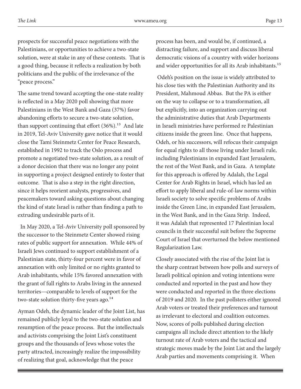prospects for successful peace negotiations with the Palestinians, or opportunities to achieve a two-state solution, were at stake in any of these contests. That is a good thing, because it reflects a realization by both politicians and the public of the irrelevance of the "peace process."

The same trend toward accepting the one-state reality is reflected in a May 2020 poll showing that more Palestinians in the West Bank and Gaza (37%) favor abandoning efforts to secure a two-state solution, than support continuing that effort  $(36\%)$ .<sup>13</sup> And late in 2019, Tel-Aviv University gave notice that it would close the Tami Steinmetz Center for Peace Research, established in 1992 to track the Oslo process and promote a negotiated two-state solution, as a result of a donor decision that there was no longer any point in supporting a project designed entirely to foster that outcome. That is also a step in the right direction, since it helps reorient analysts, progressives, and peacemakers toward asking questions about changing the kind of state Israel is rather than finding a path to extruding undesirable parts of it.

 In May 2020, a Tel-Aviv University poll sponsored by the successor to the Steinmetz Center showed rising rates of public support for annexation. While 44% of Israeli Jews continued to support establishment of a Palestinian state, thirty-four percent were in favor of annexation with only limited or no rights granted to Arab inhabitants, while 15% favored annexation with the grant of full rights to Arabs living in the annexed territories—comparable to levels of support for the two-state solution thirty-five years ago.<sup>14</sup>

Ayman Odeh, the dynamic leader of the Joint List, has remained publicly loyal to the two-state solution and resumption of the peace process. But the intellectuals and activists comprising the Joint List's constituent groups and the thousands of Jews whose votes the party attracted, increasingly realize the impossibility of realizing that goal, acknowledge that the peace

process has been, and would be, if continued, a distracting failure, and support and discuss liberal democratic visions of a country with wider horizons and wider opportunities for all its Arab inhabitants.<sup>15</sup>

 Odeh's position on the issue is widely attributed to his close ties with the Palestinian Authority and its President, Mahmoud Abbas. But the PA is either on the way to collapse or to a transformation, all but explicitly, into an organization carrying out the administrative duties that Arab Departments in Israeli ministries have performed re Palestinian citizens inside the green line. Once that happens, Odeh, or his successors, will refocus their campaign for equal rights to all those living under Israeli rule, including Palestinians in expanded East Jerusalem, the rest of the West Bank, and in Gaza. A template for this approach is offered by Adalah, the Legal Center for Arab Rights in Israel, which has led an effort to apply liberal and rule-of-law norms within Israeli society to solve specific problems of Arabs inside the Green Line, in expanded East Jerusalem, in the West Bank, and in the Gaza Strip. Indeed, it was Adalah that represented 17 Palestinian local councils in their successful suit before the Supreme Court of Israel that overturned the below mentioned Regularization Law.

Closely associated with the rise of the Joint list is the sharp contrast between how polls and surveys of Israeli political opinion and voting intentions were conducted and reported in the past and how they were conducted and reported in the three elections of 2019 and 2020. In the past pollsters either ignored Arab voters or treated their preferences and turnout as irrelevant to electoral and coalition outcomes. Now, scores of polls published during election campaigns all include direct attention to the likely turnout rate of Arab voters and the tactical and strategic moves made by the Joint List and the largely Arab parties and movements comprising it. When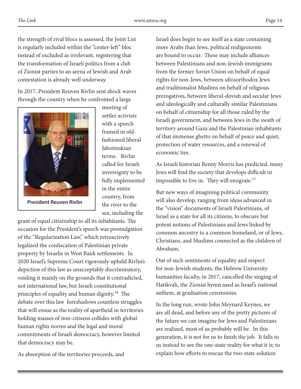*The Link* www.ameu.org Page 14

the strength of rival blocs is assessed, the Joint List is regularly included within the "center-left" bloc instead of excluded as irrelevant, registering that the transformation of Israeli politics from a club of Zionist parties to an arena of Jewish and Arab contestation is already well underway.

In 2017, President Reuven Rivlin sent shock waves through the country when he confronted a large



meeting of settler activists with a speech framed in oldfashioned liberal Jabotinskian terms. Rivlin called for Israeli sovereignty to be fully implemented in the entire country, from the river to the sea, including the

grant of equal citizenship to all its inhabitants. The occasion for the President's speech was promulgation of the "Regularization Law," which retroactively legalized the confiscation of Palestinian private property by Israelis in West Bank settlements. In 2020 Israel's Supreme Court vigorously upheld Rivlin's depiction of this law as unacceptably discriminatory, voiding it mainly on the grounds that it contradicted, not international law, but Israeli constitutional principles of equality and human dignity.<sup>16</sup> The debate over this law foreshadows countless struggles that will ensue as the reality of apartheid in territories holding masses of non-citizens collides with global human rights norms and the legal and moral commitments of Israeli democracy, however limited that democracy may be.

As absorption of the territories proceeds, and

Israel does begin to see itself as a state containing more Arabs than Jews, political realignments are bound to occur. These may include alliances between Palestinians and non-Jewish immigrants from the former Soviet Union on behalf of equal rights for non-Jews, between ultraorthodox Jews and traditionalist Muslims on behalf of religious prerogatives, between liberal-dovish and secular Jews and ideologically and culturally similar Palestinians on behalf of citizenship for all those ruled by the Israeli government, and between Jews in the swath of territory around Gaza and the Palestinian inhabitants of that immense ghetto on behalf of peace and quiet, protection of water resources, and a renewal of economic ties.

As Israeli historian Benny Morris has predicted, many Jews will find the society that develops difficult or impossible to live in. They will emigrate. $^{17}$ 

But new ways of imagining political community will also develop, ranging from ideas advanced in the "vision" documents of Israeli Palestinians, of Israel as a state for all its citizens, to obscure but potent notions of Palestinians and Jews linked by common ancestry to a common homeland, or of Jews, Christians, and Muslims connected as the children of Abraham.

Out of such sentiments of equality and respect for non-Jewish students, the Hebrew University humanities faculty, in 2017, cancelled the singing of Hatikvah, the Zionist hymn used as Israel's national anthem, at graduation ceremonies.

In the long run, wrote John Meynard Keynes, we are all dead, and before any of the pretty pictures of the future we can imagine for Jews and Palestinians are realized, most of us probably will be. In this generation, it is not for us to finish the job. It falls to us instead to see the one-state reality for what it is; to explain how efforts to rescue the two-state solution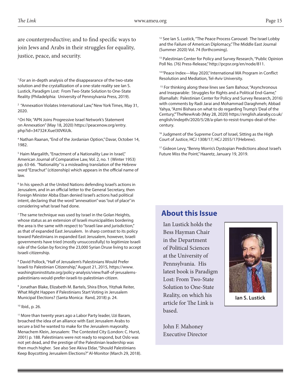are counterproductive; and to find specific ways to join Jews and Arabs in their struggles for equality, justice, peace, and security.

<sup>1</sup> For an in-depth analysis of the disappearance of the two-state solution and the crystallization of a one-state reality see Ian S. Lustick, Paradigm Lost: From Two-State Solution to One-State Reality (Philadelphia: University of Pennsylvania Press, 2019).

<sup>2</sup> "Annexation Violates International Law," New York Times, May 31, 2020.

3 Ori Nir, "APN Joins Progressive Israel Network's Statement on Annexation" (May 18, 2020) https://peacenow.org/entry. php?id=34732#.XueI30VKiUk.

4 Nathan Raanan, "End of the Jordanian Option," Davar, October 14, 1982.

<sup>5</sup> Haim Margalith, "Enactment of a Nationality Law in Israel," American Journal of Comparative Law, Vol. 2, no. 1 (Winter 1953) pp. 63-66. "Nationality" is a misleading translation of the Hebrew word "Ezrachut" (citizenship) which appears in the official name of law.

<sup>6</sup> In his speech at the United Nations defending Israel's actions in Jerusalem, and in an official letter to the General Secretary, then Foreign Minister Abba Eban denied Israel's actions had political intent, declaring that the word "annexation" was "out of place" in considering what Israel had done.

<sup>7</sup> The same technique was used by Israel in the Golan Heights, whose status as an extension of Israeli municipalities bordering the area is the same with respect to "Israeli law and jurisdiction," as that of expanded East Jerusalem. In sharp contrast to its policy toward Palestinians in expanded East Jerusalem, however, Israeli governments have tried (mostly unsuccessfully) to legitimize Israeli rule of the Golan by forcing the 23,000 Syrian Druse living to accept Israeli citizenship.

8 David Pollock, "Half of Jerusalem's Palestinians Would Prefer Israeli to Palestinian Citizenship," August 21, 2015, https://www. washingtoninstitute.org/policy-analysis/view/half-of-jerusalemspalestinians-would-prefer-israeli-to-palestinian-citizen.

9 Jonathan Blake, Elizabeth M. Bartels, Shira Efron, Yitzhak Reiter, What Might Happen if Palestinians Start Voting in Jerusalem Municipal Elections? (Santa Monica: Rand, 2018) p. 24.

#### 10 Ibid., p. 26.

<sup>11</sup> More than twenty years ago a Labor Party leader, Uzi Baram, broached the idea of an alliance with East Jerusalem Arabs to secure a bid he wanted to make for the Jerusalem mayoralty. Menachem Klein, Jerusalem: The Contested City (London: C. Hurst, 2001) p. 188. Palestinians were not ready to respond, but Oslo was not yet dead, and the prestige of the Palestinian leadership was then much higher. See also See Akiva Eldar, "Should Palestinians Keep Boycotting Jerusalem Elections?" Al-Monitor (March 29, 2018). <sup>12</sup> See Ian S. Lustick, "The Peace Process Carousel: The Israel Lobby and the Failure of American Diplomacy," The Middle East Journal (Summer 2020) Vol. 74 (forthcoming).

<sup>13</sup> Palestinian Center for Policy and Survey Research, "Public Opinion Poll No. (76) Press-Release," http://pcpsr.org/en/node/811.

<sup>14</sup> "Peace Index-May 2020," International MA Program in Conflict Resolution and Mediation, Tel-Aviv University.

<sup>15</sup> For thinking along these lines see Sam Bahour, "Asynchronous and Inseparable: Struggles for Rights and a Political End-Game," (Ramallah: Palestinian Center for Policy and Survey Research, 2016) with comments by Radi Jarai and Mohammad Daraghmeh; Abbad Yahya, "Azmi Bishara on what to do regarding Trump's 'Deal of the Century,'"TheNewArab (May 28, 2020) https://english.alaraby.co.uk/ english/indepth/2020/5/28/a-plan-to-resist-trumps-deal-of-thecentury.

<sup>16</sup> Judgment of the Supreme Court of Israel, Sitting as the High Court of Justice, HCJ 1308/17; HCJ 2055/17(Hebrew).

<sup>17</sup> Gideon Levy, "Benny Morris's Dystopian Predictions about Israel's Future Miss the Point," Haaretz, January 19, 2019.

# **About this Issue**

Ian Lustick holds the Bess Hayman Chair in the Department of Political Sciences at the University of Pennsylvania. His latest book is Paradigm Lost: From Two-State Solution to One-State Reality, on which his article for The Link is based.



**Ian S. Lustick**

John F. Mahoney Executive Director